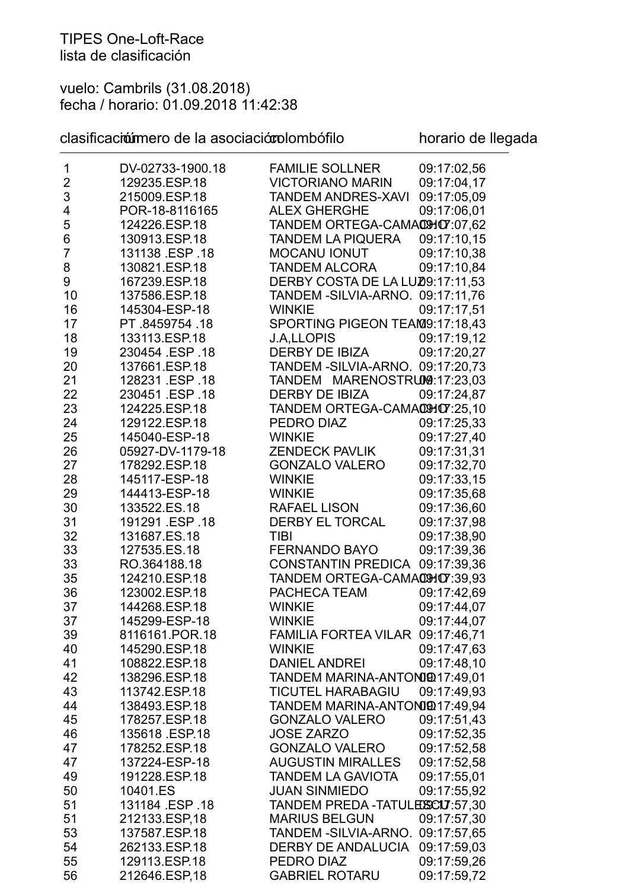vuelo: Cambrils (31.08.2018) fecha / horario: 01.09.2018 11:42:38

## clasificación mero de la asociación dombófilo horario de llegada

| 1              | DV-02733-1900.18 | <b>FAMILIE SOLLNER</b>            | 09:17:02,56 |
|----------------|------------------|-----------------------------------|-------------|
| $\overline{2}$ | 129235.ESP.18    | <b>VICTORIANO MARIN</b>           | 09:17:04,17 |
| 3              | 215009.ESP.18    | <b>TANDEM ANDRES-XAVI</b>         | 09:17:05.09 |
| 4              | POR-18-8116165   | <b>ALEX GHERGHE</b>               | 09:17:06,01 |
| 5              | 124226.ESP.18    | TANDEM ORTEGA-CAMACHOT:07,62      |             |
| 6              | 130913.ESP.18    | <b>TANDEM LA PIQUERA</b>          | 09:17:10,15 |
| $\overline{7}$ | 131138 ESP 18    | <b>MOCANU IONUT</b>               | 09:17:10,38 |
| 8              | 130821.ESP.18    | <b>TANDEM ALCORA</b>              | 09:17:10,84 |
| 9              | 167239.ESP.18    | DERBY COSTA DE LA LUZ09:17:11,53  |             |
| 10             | 137586.ESP.18    | TANDEM - SILVIA-ARNO. 09:17:11,76 |             |
| 16             | 145304-ESP-18    | <b>WINKIE</b>                     | 09:17:17,51 |
| 17             | PT 8459754 18    | SPORTING PIGEON TEAM9:17:18,43    |             |
| 18             | 133113.ESP.18    | <b>J.A,LLOPIS</b>                 | 09:17:19,12 |
| 19             | 230454 ESP 18    | <b>DERBY DE IBIZA</b>             | 09:17:20,27 |
| 20             | 137661.ESP.18    | TANDEM - SILVIA-ARNO. 09:17:20,73 |             |
| 21             | 128231 ESP 18    | TANDEM MARENOSTRUM9:17:23,03      |             |
| 22             | 230451 ESP 18    |                                   |             |
|                |                  | DERBY DE IBIZA                    | 09:17:24,87 |
| 23             | 124225.ESP.18    | TANDEM ORTEGA-CAMACHOT:25,10      |             |
| 24             | 129122.ESP.18    | PEDRO DIAZ                        | 09:17:25,33 |
| 25             | 145040-ESP-18    | <b>WINKIE</b>                     | 09:17:27,40 |
| 26             | 05927-DV-1179-18 | <b>ZENDECK PAVLIK</b>             | 09:17:31,31 |
| 27             | 178292.ESP.18    | <b>GONZALO VALERO</b>             | 09:17:32,70 |
| 28             | 145117-ESP-18    | <b>WINKIE</b>                     | 09:17:33,15 |
| 29             | 144413-ESP-18    | <b>WINKIE</b>                     | 09:17:35,68 |
| 30             | 133522.ES.18     | <b>RAFAEL LISON</b>               | 09:17:36,60 |
| 31             | 191291 ESP 18    | DERBY EL TORCAL                   | 09:17:37,98 |
| 32             | 131687.ES.18     | <b>TIBI</b>                       | 09:17:38,90 |
| 33             | 127535.ES.18     | FERNANDO BAYO                     | 09:17:39,36 |
| 33             | RO.364188.18     | CONSTANTIN PREDICA 09:17:39,36    |             |
| 35             | 124210.ESP.18    | TANDEM ORTEGA-CAMACHOT:39,93      |             |
| 36             | 123002.ESP.18    | PACHECA TEAM                      | 09:17:42,69 |
| 37             | 144268.ESP.18    | <b>WINKIE</b>                     | 09:17:44,07 |
| 37             | 145299-ESP-18    | <b>WINKIE</b>                     | 09:17:44,07 |
| 39             | 8116161.POR.18   | FAMILIA FORTEA VILAR 09:17:46,71  |             |
| 40             | 145290.ESP.18    | <b>WINKIE</b>                     | 09:17:47,63 |
| 41             | 108822.ESP.18    | <b>DANIEL ANDREI</b>              | 09:17:48,10 |
| 42             | 138296.ESP.18    | TANDEM MARINA-ANTONIQ017:49,01    |             |
| 43             | 113742.ESP.18    | <b>TICUTEL HARABAGIU</b>          | 09:17:49.93 |
| 44             | 138493.ESP.18    | TANDEM MARINA-ANTONIQ017:49,94    |             |
| 45             | 178257.ESP.18    | <b>GONZALO VALERO</b>             | 09:17:51,43 |
| 46             | 135618 ESP 18    | <b>JOSE ZARZO</b>                 | 09:17:52,35 |
| 47             | 178252.ESP.18    | <b>GONZALO VALERO</b>             | 09:17:52,58 |
| 47             | 137224-ESP-18    | <b>AUGUSTIN MIRALLES</b>          | 09:17:52,58 |
| 49             | 191228.ESP.18    | <b>TANDEM LA GAVIOTA</b>          | 09:17:55,01 |
| 50             | 10401.ES         | <b>JUAN SINMIEDO</b>              | 09:17:55,92 |
| 51             | 131184 .ESP .18  | TANDEM PREDA-TATULESSCIU:57,30    |             |
| 51             |                  |                                   |             |
|                | 212133.ESP,18    | <b>MARIUS BELGUN</b>              | 09:17:57,30 |
| 53             | 137587.ESP.18    | TANDEM - SILVIA-ARNO. 09:17:57,65 |             |
| 54             | 262133.ESP.18    | DERBY DE ANDALUCIA 09:17:59,03    |             |
| 55             | 129113.ESP.18    | PEDRO DIAZ                        | 09:17:59,26 |
| 56             | 212646.ESP,18    | <b>GABRIEL ROTARU</b>             | 09:17:59,72 |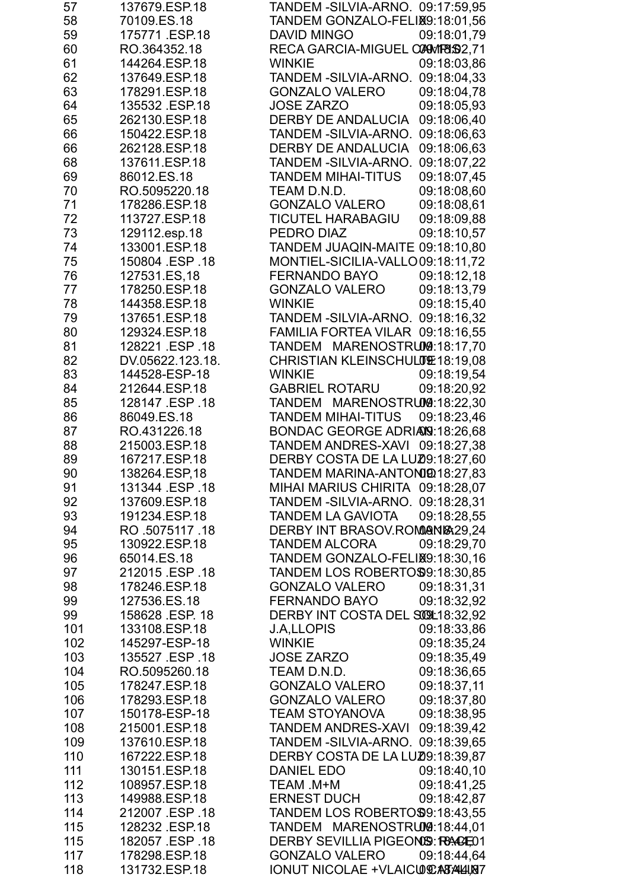| 57  | 137679.ESP.18    | TANDEM - SILVIA-ARNO. 09:17:59,95        |
|-----|------------------|------------------------------------------|
| 58  | 70109.ES.18      | TANDEM GONZALO-FELIX9:18:01,56           |
| 59  | 175771 .ESP.18   | <b>DAVID MINGO</b><br>09:18:01,79        |
| 60  | RO.364352.18     | RECA GARCIA-MIGUEL CONWIP832,71          |
| 61  | 144264.ESP.18    | <b>WINKIE</b><br>09:18:03,86             |
| 62  | 137649.ESP.18    | TANDEM - SILVIA-ARNO. 09:18:04,33        |
| 63  | 178291.ESP.18    | <b>GONZALO VALERO</b><br>09:18:04,78     |
| 64  | 135532 ESP.18    | <b>JOSE ZARZO</b><br>09:18:05,93         |
| 65  | 262130.ESP.18    | <b>DERBY DE ANDALUCIA</b><br>09:18:06,40 |
| 66  | 150422.ESP.18    | TANDEM - SILVIA-ARNO.<br>09:18:06,63     |
| 66  | 262128.ESP.18    | 09:18:06,63<br><b>DERBY DE ANDALUCIA</b> |
| 68  | 137611.ESP.18    | TANDEM -SILVIA-ARNO.<br>09:18:07,22      |
| 69  | 86012.ES.18      | <b>TANDEM MIHAI-TITUS</b><br>09:18:07,45 |
| 70  | RO.5095220.18    | 09:18:08,60<br>TEAM D.N.D.               |
| 71  | 178286.ESP.18    | <b>GONZALO VALERO</b><br>09:18:08,61     |
| 72  | 113727.ESP.18    | 09:18:09,88<br><b>TICUTEL HARABAGIU</b>  |
| 73  | 129112.esp.18    | 09:18:10,57<br>PEDRO DIAZ                |
| 74  | 133001.ESP.18    | TANDEM JUAQIN-MAITE 09:18:10,80          |
| 75  | 150804 .ESP .18  | MONTIEL-SICILIA-VALLO09:18:11,72         |
|     |                  |                                          |
| 76  | 127531.ES,18     | <b>FERNANDO BAYO</b><br>09:18:12,18      |
| 77  | 178250.ESP.18    | <b>GONZALO VALERO</b><br>09:18:13,79     |
| 78  | 144358.ESP.18    | 09:18:15,40<br><b>WINKIE</b>             |
| 79  | 137651.ESP.18    | TANDEM - SILVIA-ARNO. 09:18:16,32        |
| 80  | 129324.ESP.18    | FAMILIA FORTEA VILAR 09:18:16,55         |
| 81  | 128221 .ESP .18  | TANDEM MARENOSTRUM9:18:17,70             |
| 82  | DV.05622.123.18. | CHRISTIAN KLEINSCHULUT 18:19,08          |
| 83  | 144528-ESP-18    | 09:18:19,54<br><b>WINKIE</b>             |
| 84  | 212644.ESP.18    | <b>GABRIEL ROTARU</b><br>09:18:20,92     |
| 85  | 128147 .ESP .18  | TANDEM MARENOSTRUM9:18:22,30             |
| 86  | 86049.ES.18      | <b>TANDEM MIHAI-TITUS</b><br>09:18:23,46 |
| 87  | RO.431226.18     | BONDAC GEORGE ADRIANS: 18:26,68          |
| 88  | 215003.ESP.18    | TANDEM ANDRES-XAVI 09:18:27,38           |
| 89  | 167217.ESP.18    | DERBY COSTA DE LA LUZ0:18:27,60          |
| 90  | 138264.ESP,18    | TANDEM MARINA-ANTONIQ018:27,83           |
| 91  | 131344 .ESP .18  | MIHAI MARIUS CHIRITA 09:18:28,07         |
| 92  | 137609.ESP.18    | TANDEM - SILVIA-ARNO. 09:18:28,31        |
| 93  | 191234.ESP.18    | 09:18:28,55<br>TANDEM LA GAVIOTA         |
| 94  | RO .5075117 .18  | DERBY INT BRASOV.ROMMANI& 29,24          |
| 95  | 130922.ESP.18    | 09:18:29,70<br><b>TANDEM ALCORA</b>      |
| 96  | 65014.ES.18      | TANDEM GONZALO-FELIX9:18:30,16           |
| 97  | 212015 ESP .18   | <b>TANDEM LOS ROBERTO\$9:18:30,85</b>    |
| 98  | 178246.ESP.18    | <b>GONZALO VALERO</b><br>09:18:31,31     |
| 99  | 127536.ES.18     | FERNANDO BAYO<br>09:18:32,92             |
| 99  | 158628 ESP 18    | DERBY INT COSTA DEL SOOL:18:32,92        |
| 101 | 133108.ESP.18    | <b>J.A.LLOPIS</b><br>09:18:33,86         |
| 102 | 145297-ESP-18    | <b>WINKIE</b><br>09:18:35,24             |
| 103 | 135527 ESP 18    | <b>JOSE ZARZO</b><br>09:18:35,49         |
| 104 | RO.5095260.18    | 09:18:36,65<br>TEAM D.N.D.               |
| 105 | 178247.ESP.18    | 09:18:37,11<br><b>GONZALO VALERO</b>     |
| 106 | 178293.ESP.18    | <b>GONZALO VALERO</b><br>09:18:37,80     |
| 107 | 150178-ESP-18    | <b>TEAM STOYANOVA</b><br>09:18:38,95     |
| 108 | 215001.ESP.18    | <b>TANDEM ANDRES-XAVI</b><br>09:18:39,42 |
| 109 | 137610.ESP.18    | TANDEM - SILVIA-ARNO. 09:18:39,65        |
| 110 | 167222.ESP.18    | DERBY COSTA DE LA LUZ0:18:39,87          |
| 111 | 130151.ESP.18    | 09:18:40,10<br>DANIEL EDO                |
| 112 | 108957.ESP.18    | 09:18:41,25<br>TEAM .M+M                 |
| 113 | 149988.ESP.18    | <b>ERNEST DUCH</b><br>09:18:42,87        |
| 114 | 212007 ESP 18    | <b>TANDEM LOS ROBERTO\$9:18:43,55</b>    |
| 115 | 128232 ESP.18    | TANDEM MARENOSTRUM9:18:44,01             |
| 115 | 182057 .ESP .18  | DERBY SEVILLIA PIGEONIS: RACCEO1         |
| 117 | 178298.ESP.18    | <b>GONZALO VALERO</b><br>09:18:44,64     |
| 118 | 131732.ESP.18    | IONUT NICOLAE + VLAICUE ATALAIRI7        |
|     |                  |                                          |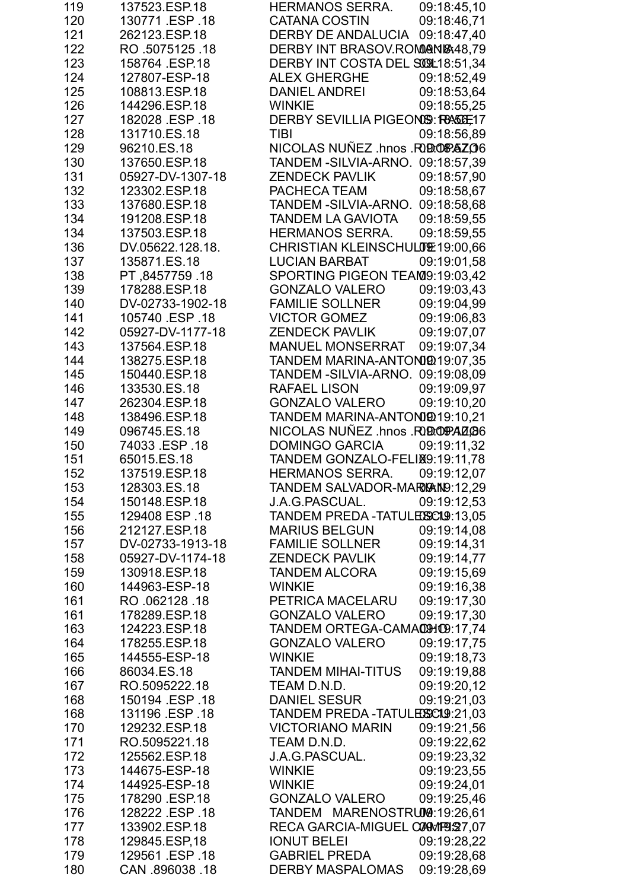| 119 | 137523.ESP.18    | <b>HERMANOS SERRA.</b>            | 09:18:45,10 |
|-----|------------------|-----------------------------------|-------------|
| 120 | 130771 .ESP .18  | <b>CATANA COSTIN</b>              | 09:18:46.71 |
| 121 | 262123.ESP.18    | DERBY DE ANDALUCIA                | 09:18:47,40 |
| 122 | RO 5075125.18    | DERBY INT BRASOV.ROMMAN1848,79    |             |
| 123 | 158764 ESP.18    | DERBY INT COSTA DEL SOOL18:51,34  |             |
| 124 | 127807-ESP-18    | ALEX GHERGHE                      | 09:18:52,49 |
| 125 | 108813.ESP.18    | <b>DANIEL ANDREI</b>              | 09:18:53,64 |
| 126 | 144296.ESP.18    | <b>WINKIE</b>                     | 09:18:55,25 |
| 127 | 182028 ESP 18    | DERBY SEVILLIA PIGEONIS: RASIE17  |             |
| 128 | 131710.ES.18     | <b>TIBI</b>                       | 09:18:56,89 |
| 129 | 96210.ES.18      | NICOLAS NUÑEZ .hnos .RODOPAZO6    |             |
| 130 | 137650.ESP.18    | TANDEM - SILVIA-ARNO. 09:18:57,39 |             |
| 131 | 05927-DV-1307-18 | <b>ZENDECK PAVLIK</b>             | 09:18:57,90 |
| 132 | 123302.ESP.18    | PACHECA TEAM                      | 09:18:58,67 |
| 133 | 137680.ESP.18    | TANDEM - SILVIA-ARNO. 09:18:58,68 |             |
| 134 | 191208.ESP.18    | <b>TANDEM LA GAVIOTA</b>          | 09:18:59,55 |
| 134 | 137503.ESP.18    | <b>HERMANOS SERRA.</b>            | 09:18:59,55 |
| 136 | DV.05622.128.18. | CHRISTIAN KLEINSCHULUE19:00,66    |             |
| 137 | 135871.ES.18     | <b>LUCIAN BARBAT</b>              | 09:19:01,58 |
| 138 | PT.8457759.18    | SPORTING PIGEON TEAM9:19:03.42    |             |
| 139 | 178288.ESP.18    | <b>GONZALO VALERO</b>             | 09:19:03,43 |
| 140 | DV-02733-1902-18 | <b>FAMILIE SOLLNER</b>            | 09:19:04,99 |
| 141 | 105740 ESP .18   | <b>VICTOR GOMEZ</b>               | 09:19:06,83 |
| 142 | 05927-DV-1177-18 | <b>ZENDECK PAVLIK</b>             | 09:19:07.07 |
| 143 | 137564.ESP.18    | <b>MANUEL MONSERRAT</b>           | 09:19:07,34 |
| 144 | 138275.ESP.18    | TANDEM MARINA-ANTONIQ 19:07,35    |             |
| 145 | 150440.ESP.18    | TANDEM - SILVIA-ARNO. 09:19:08,09 |             |
| 146 | 133530.ES.18     | <b>RAFAEL LISON</b>               | 09:19:09,97 |
| 147 | 262304.ESP.18    | <b>GONZALO VALERO</b>             | 09:19:10,20 |
| 148 | 138496.ESP.18    | TANDEM MARINA-ANTONIQ019:10,21    |             |
| 149 | 096745.ES.18     | NICOLAS NUÑEZ .hnos .RODOPAZO6    |             |
| 150 | 74033 .ESP .18   | <b>DOMINGO GARCIA</b>             | 09:19:11,32 |
| 151 | 65015.ES.18      | TANDEM GONZALO-FELIX9:19:11,78    |             |
| 152 | 137519.ESP.18    | <b>HERMANOS SERRA</b>             | 09:19:12,07 |
| 153 | 128303.ES.18     | TANDEM SALVADOR-MARIGAIN9:12,29   |             |
| 154 | 150148.ESP.18    | J.A.G. PASCUAL.                   | 09:19:12,53 |
| 155 | 129408 ESP .18   | TANDEM PREDA-TATULESSCI9:13,05    |             |
| 156 | 212127.ESP.18    | <b>MARIUS BELGUN</b>              | 09:19:14,08 |
| 157 | DV-02733-1913-18 | <b>FAMILIE SOLLNER</b>            | 09:19:14,31 |
| 158 | 05927-DV-1174-18 | <b>ZENDECK PAVLIK</b>             | 09:19:14,77 |
| 159 | 130918.ESP.18    | <b>TANDEM ALCORA</b>              | 09:19:15,69 |
| 160 | 144963-ESP-18    | <b>WINKIE</b>                     | 09:19:16,38 |
| 161 | RO 062128 18     | PETRICA MACELARU                  | 09:19:17,30 |
| 161 | 178289.ESP.18    | <b>GONZALO VALERO</b>             | 09:19:17,30 |
| 163 | 124223.ESP.18    | TANDEM ORTEGA-CAMACHO9:17,74      |             |
| 164 | 178255.ESP.18    | <b>GONZALO VALERO</b>             | 09:19:17,75 |
| 165 | 144555-ESP-18    | <b>WINKIE</b>                     | 09:19:18,73 |
| 166 | 86034.ES.18      | <b>TANDEM MIHAI-TITUS</b>         | 09:19:19,88 |
| 167 | RO.5095222.18    | TEAM D.N.D.                       | 09:19:20,12 |
| 168 | 150194 ESP 18    | <b>DANIEL SESUR</b>               | 09:19:21,03 |
| 168 | 131196 ESP 18    | TANDEM PREDA-TATULEXSCIO:21,03    |             |
| 170 | 129232.ESP.18    | <b>VICTORIANO MARIN</b>           | 09:19:21,56 |
| 171 | RO.5095221.18    | TEAM D.N.D.                       | 09:19:22,62 |
| 172 | 125562.ESP.18    | J.A.G.PASCUAL.                    | 09:19:23,32 |
| 173 | 144675-ESP-18    | <b>WINKIE</b>                     | 09:19:23,55 |
| 174 | 144925-ESP-18    | <b>WINKIE</b>                     | 09:19:24,01 |
| 175 | 178290 ESP.18    | <b>GONZALO VALERO</b>             | 09:19:25,46 |
| 176 | 128222 ESP 18    | TANDEM MARENOSTRUM9:19:26,61      |             |
| 177 | 133902.ESP.18    | RECA GARCIA-MIGUEL CONMP91927.07  |             |
| 178 | 129845.ESP,18    | <b>IONUT BELEI</b>                | 09:19:28,22 |
| 179 | 129561 ESP .18   | <b>GABRIEL PREDA</b>              | 09:19:28,68 |
| 180 | CAN 896038 18    | <b>DERBY MASPALOMAS</b>           | 09:19:28,69 |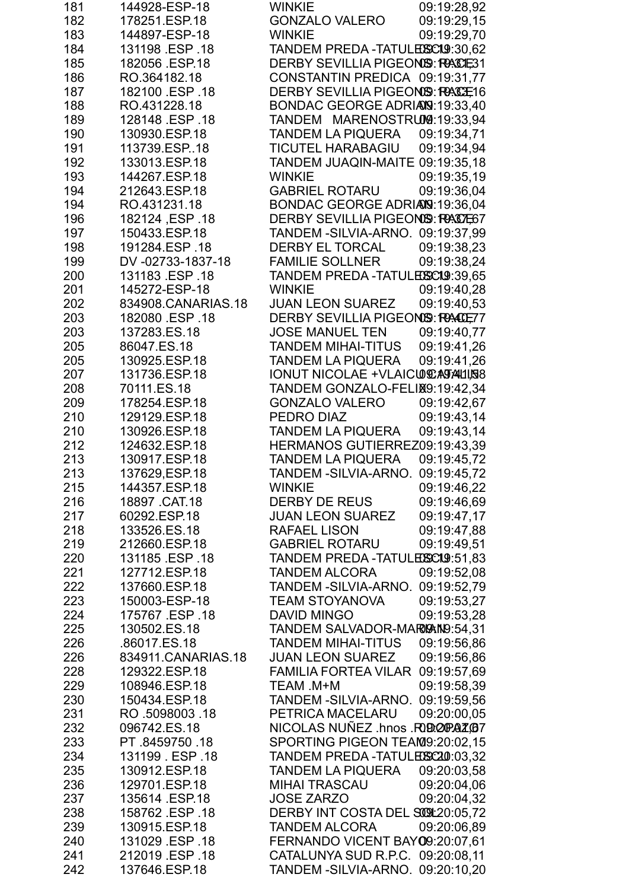| 181 | 144928-ESP-18      | <b>WINKIE</b>                           | 09:19:28,92 |
|-----|--------------------|-----------------------------------------|-------------|
| 182 | 178251.ESP.18      | <b>GONZALO VALERO</b>                   | 09:19:29,15 |
| 183 | 144897-ESP-18      | <b>WINKIE</b>                           | 09:19:29,70 |
| 184 | 131198 ESP .18     | TANDEM PREDA-TATULESCO.9:30,62          |             |
| 185 | 182056 ESP.18      | DERBY SEVILLIA PIGEONSS: RACE31         |             |
| 186 | RO.364182.18       | CONSTANTIN PREDICA 09:19:31,77          |             |
| 187 | 182100 ESP .18     | DERBY SEVILLIA PIGEONSS: RACE16         |             |
| 188 | RO.431228.18       | BONDAC GEORGE ADRIANS: 19:33,40         |             |
| 189 | 128148 .ESP .18    | TANDEM MARENOSTRUM9:19:33,94            |             |
| 190 | 130930.ESP.18      | <b>TANDEM LA PIQUERA</b>                | 09:19:34,71 |
| 191 | 113739.ESP18       | <b>TICUTEL HARABAGIU</b>                | 09:19:34,94 |
| 192 | 133013.ESP.18      | TANDEM JUAQIN-MAITE 09:19:35,18         |             |
| 193 | 144267.ESP.18      | <b>WINKIE</b>                           | 09:19:35,19 |
| 194 | 212643.ESP.18      | <b>GABRIEL ROTARU</b>                   | 09:19:36,04 |
| 194 | RO.431231.18       | BONDAC GEORGE ADRIANS: 19:36,04         |             |
| 196 | 18. ISP 18         | <b>DERBY SEVILLIA PIGEONIS: RAIDE67</b> |             |
| 197 | 150433.ESP.18      | TANDEM - SILVIA-ARNO. 09:19:37,99       |             |
| 198 | 191284.ESP.18      | <b>DERBY EL TORCAL</b>                  | 09:19:38,23 |
|     |                    |                                         |             |
| 199 | DV-02733-1837-18   | <b>FAMILIE SOLLNER</b>                  | 09:19:38,24 |
| 200 | 131183 ESP 18      | TANDEM PREDA-TATULESSCI9:39,65          |             |
| 201 | 145272-ESP-18      | <b>WINKIE</b>                           | 09:19:40,28 |
| 202 | 834908.CANARIAS.18 | <b>JUAN LEON SUAREZ</b>                 | 09:19:40.53 |
| 203 | 182080 ESP .18     | <b>DERBY SEVILLIA PIGEONIS: RACCET7</b> |             |
| 203 | 137283.ES.18       | <b>JOSE MANUEL TEN</b>                  | 09:19:40,77 |
| 205 | 86047.ES.18        | <b>TANDEM MIHAI-TITUS</b>               | 09:19:41,26 |
| 205 | 130925.ESP.18      | <b>TANDEM LA PIQUERA</b>                | 09:19:41,26 |
| 207 | 131736.ESP.18      | IONUT NICOLAE + VLAICULATALLISS         |             |
| 208 | 70111.ES.18        | TANDEM GONZALO-FELIX9:19:42,34          |             |
| 209 | 178254.ESP.18      | <b>GONZALO VALERO</b>                   | 09:19:42,67 |
| 210 | 129129.ESP.18      | PEDRO DIAZ                              | 09:19:43.14 |
| 210 | 130926.ESP.18      | <b>TANDEM LA PIQUERA</b>                | 09:19:43,14 |
| 212 | 124632.ESP.18      | HERMANOS GUTIERREZ09:19:43,39           |             |
| 213 | 130917.ESP.18      | TANDEM LA PIQUERA                       | 09:19:45.72 |
| 213 | 137629, ESP. 18    | TANDEM - SILVIA-ARNO. 09:19:45,72       |             |
| 215 | 144357.ESP.18      | <b>WINKIE</b>                           | 09:19:46,22 |
| 216 | 18897 .CAT.18      | DERBY DE REUS                           | 09:19:46,69 |
| 217 | 60292.ESP.18       | <b>JUAN LEON SUAREZ</b>                 | 09:19:47,17 |
| 218 | 133526.ES.18       | <b>RAFAEL LISON</b>                     | 09:19:47,88 |
| 219 | 212660.ESP.18      | <b>GABRIEL ROTARU</b>                   | 09:19:49,51 |
| 220 | 131185 .ESP .18    | TANDEM PREDA-TATULESSCI9:51,83          |             |
| 221 | 127712.ESP.18      | <b>TANDEM ALCORA</b>                    | 09:19:52,08 |
| 222 | 137660.ESP.18      | TANDEM - SILVIA-ARNO. 09:19:52,79       |             |
| 223 | 150003-ESP-18      | <b>TEAM STOYANOVA</b>                   | 09:19:53,27 |
| 224 | 175767 .ESP .18    | DAVID MINGO                             | 09:19:53,28 |
| 225 | 130502.ES.18       | TANDEM SALVADOR-MARIGAIN9:54,31         |             |
| 226 | .86017.ES.18       | <b>TANDEM MIHAI-TITUS</b>               | 09:19:56,86 |
| 226 | 834911.CANARIAS.18 | <b>JUAN LEON SUAREZ</b>                 | 09:19:56,86 |
| 228 | 129322.ESP.18      | FAMILIA FORTEA VILAR 09:19:57,69        |             |
| 229 | 108946.ESP.18      | TEAM .M+M                               | 09:19:58,39 |
| 230 | 150434.ESP.18      | TANDEM - SILVIA-ARNO. 09:19:59,56       |             |
| 231 | RO 5098003 18      | PETRICA MACELARU                        | 09:20:00,05 |
| 232 | 096742.ES.18       | NICOLAS NUÑEZ .hnos .RODOPAZO           |             |
| 233 | PT.8459750.18      | SPORTING PIGEON TEAM9:20:02,15          |             |
|     |                    |                                         |             |
| 234 | 131199 ESP 18      | TANDEM PREDA-TATULESC20:03,32           |             |
| 235 | 130912.ESP.18      | TANDEM LA PIQUERA                       | 09:20:03,58 |
| 236 | 129701.ESP.18      | <b>MIHAI TRASCAU</b>                    | 09:20:04,06 |
| 237 | 135614 ESP.18      | <b>JOSE ZARZO</b>                       | 09:20:04,32 |
| 238 | 158762 ESP .18     | DERBY INT COSTA DEL SOGL20:05,72        |             |
| 239 | 130915.ESP.18      | <b>TANDEM ALCORA</b>                    | 09:20:06,89 |
| 240 | 131029 ESP 18      | FERNANDO VICENT BAY09:20:07,61          |             |
| 241 | 212019 ESP .18     | CATALUNYA SUD R.P.C. 09:20:08,11        |             |
| 242 | 137646.ESP.18      | TANDEM - SILVIA-ARNO. 09:20:10,20       |             |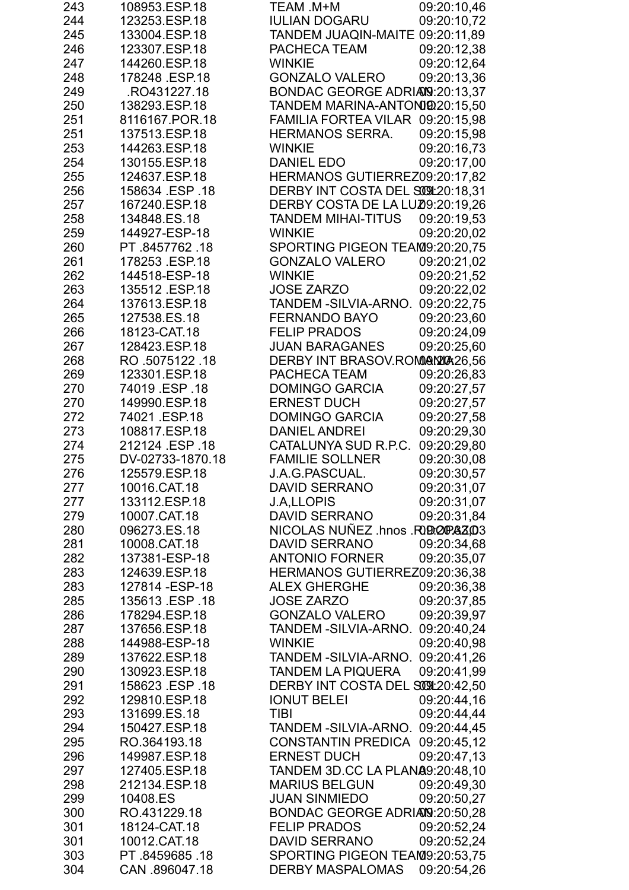| 243 | 108953.ESP.18    | TEAM .M+M<br>09:20:10,46                 |
|-----|------------------|------------------------------------------|
| 244 | 123253.ESP.18    | <b>IULIAN DOGARU</b><br>09:20:10,72      |
| 245 | 133004.ESP.18    | TANDEM JUAQIN-MAITE 09:20:11,89          |
| 246 | 123307.ESP.18    | 09:20:12,38<br>PACHECA TEAM              |
| 247 | 144260.ESP.18    | 09:20:12,64<br><b>WINKIE</b>             |
| 248 | 178248 .ESP.18   | <b>GONZALO VALERO</b><br>09:20:13,36     |
| 249 | RO431227.18      | BONDAC GEORGE ADRIANS: 20:13,37          |
| 250 | 138293.ESP.18    | TANDEM MARINA-ANTONIQ 20:15,50           |
| 251 | 8116167.POR.18   | FAMILIA FORTEA VILAR 09:20:15.98         |
| 251 | 137513.ESP.18    | 09:20:15,98<br><b>HERMANOS SERRA.</b>    |
| 253 | 144263.ESP.18    | <b>WINKIE</b><br>09:20:16.73             |
| 254 | 130155.ESP.18    | DANIEL EDO<br>09:20:17,00                |
| 255 | 124637.ESP.18    | HERMANOS GUTIERREZ09:20:17,82            |
| 256 | 158634 .ESP .18  | DERBY INT COSTA DEL SO91:20:18,31        |
| 257 | 167240.ESP.18    | DERBY COSTA DE LA LUZ0:20:19,26          |
| 258 | 134848.ES.18     | <b>TANDEM MIHAI-TITUS</b><br>09:20:19,53 |
| 259 | 144927-ESP-18    | <b>WINKIE</b><br>09:20:20,02             |
| 260 | PT 8457762 18    | SPORTING PIGEON TEAM9:20:20,75           |
| 261 | 178253 .ESP.18   | <b>GONZALO VALERO</b><br>09:20:21,02     |
| 262 | 144518-ESP-18    | 09:20:21,52<br><b>WINKIE</b>             |
| 263 | 135512 .ESP.18   | <b>JOSE ZARZO</b><br>09:20:22,02         |
|     | 137613.ESP.18    |                                          |
| 264 |                  | TANDEM - SILVIA-ARNO.<br>09:20:22,75     |
| 265 | 127538.ES.18     | 09:20:23,60<br><b>FERNANDO BAYO</b>      |
| 266 | 18123-CAT.18     | <b>FELIP PRADOS</b><br>09:20:24,09       |
| 267 | 128423.ESP.18    | <b>JUAN BARAGANES</b><br>09:20:25,60     |
| 268 | RO .5075122 .18  | DERBY INT BRASOV.ROMANY 026,56           |
| 269 | 123301.ESP.18    | PACHECA TEAM<br>09:20:26,83              |
| 270 | 74019 ESP .18    | <b>DOMINGO GARCIA</b><br>09:20:27,57     |
| 270 | 149990.ESP.18    | <b>ERNEST DUCH</b><br>09:20:27,57        |
| 272 | 74021 .ESP.18    | 09:20:27,58<br><b>DOMINGO GARCIA</b>     |
| 273 | 108817.ESP.18    | 09:20:29,30<br><b>DANIEL ANDREI</b>      |
| 274 | 212124 ESP 18    | 09:20:29,80<br>CATALUNYA SUD R.P.C.      |
| 275 | DV-02733-1870.18 | <b>FAMILIE SOLLNER</b><br>09:20:30,08    |
| 276 | 125579.ESP.18    | J.A.G.PASCUAL.<br>09:20:30,57            |
| 277 | 10016.CAT.18     | <b>DAVID SERRANO</b><br>09:20:31,07      |
| 277 | 133112.ESP.18    | <b>J.A.LLOPIS</b><br>09:20:31,07         |
| 279 | 10007.CAT.18     | <b>DAVID SERRANO</b><br>09:20:31,84      |
| 280 | 096273.ES.18     | NICOLAS NUÑEZ .hnos .RODOPAZO3           |
| 281 | 10008.CAT.18     | <b>DAVID SERRANO</b><br>09:20:34,68      |
| 282 | 137381-ESP-18    | <b>ANTONIO FORNER</b><br>09:20:35,07     |
| 283 | 124639.ESP.18    | HERMANOS GUTIERREZ09:20:36,38            |
| 283 | 127814 - ESP-18  | <b>ALEX GHERGHE</b><br>09:20:36,38       |
| 285 | 135613 ESP 18    | <b>JOSE ZARZO</b><br>09:20:37,85         |
| 286 | 178294.ESP.18    | 09:20:39,97<br><b>GONZALO VALERO</b>     |
| 287 | 137656.ESP.18    | TANDEM - SILVIA-ARNO.<br>09:20:40,24     |
| 288 | 144988-ESP-18    | <b>WINKIE</b><br>09:20:40,98             |
| 289 | 137622.ESP.18    | TANDEM - SILVIA-ARNO. 09:20:41,26        |
| 290 | 130923.ESP.18    | <b>TANDEM LA PIQUERA</b><br>09:20:41,99  |
| 291 | 158623 .ESP .18  | DERBY INT COSTA DEL SOOL:20:42,50        |
| 292 | 129810.ESP.18    | <b>IONUT BELEI</b><br>09:20:44,16        |
| 293 | 131699.ES.18     | TIBI<br>09:20:44,44                      |
| 294 | 150427.ESP.18    | TANDEM - SILVIA-ARNO. 09:20:44,45        |
| 295 | RO.364193.18     | CONSTANTIN PREDICA 09:20:45,12           |
| 296 | 149987.ESP.18    | <b>ERNEST DUCH</b><br>09:20:47,13        |
| 297 | 127405.ESP.18    | TANDEM 3D.CC LA PLANA9:20:48,10          |
| 298 | 212134.ESP.18    | <b>MARIUS BELGUN</b><br>09:20:49,30      |
| 299 | 10408.ES         | <b>JUAN SINMIEDO</b><br>09:20:50,27      |
| 300 | RO.431229.18     | BONDAC GEORGE ADRIANS: 20:50, 28         |
| 301 | 18124-CAT.18     | <b>FELIP PRADOS</b><br>09:20:52,24       |
| 301 | 10012.CAT.18     | <b>DAVID SERRANO</b><br>09:20:52,24      |
| 303 | PT 8459685 18    | SPORTING PIGEON TEAM9:20:53,75           |
| 304 | CAN .896047.18   | <b>DERBY MASPALOMAS</b><br>09:20:54,26   |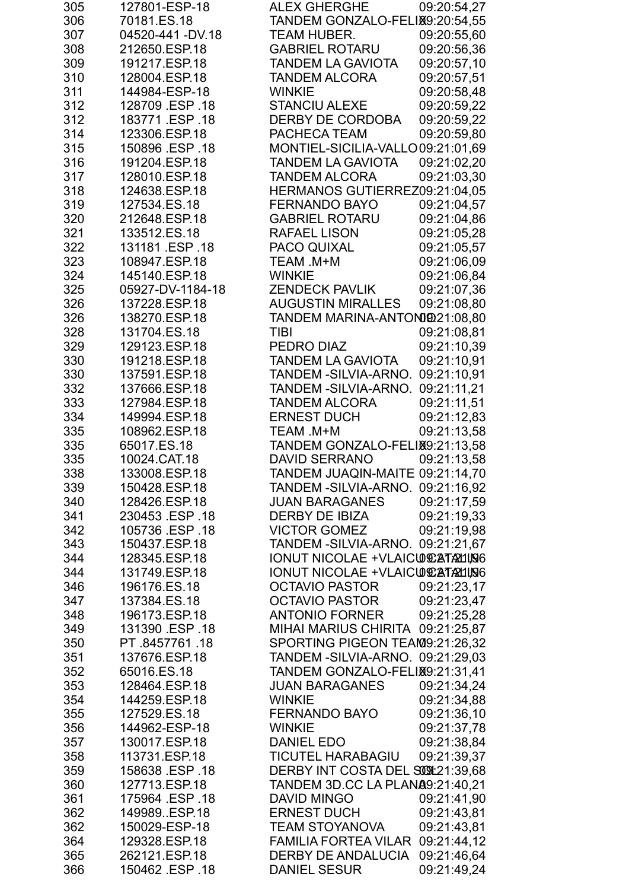| 305 | 127801-ESP-18    | <b>ALEX GHERGHE</b>               | 09:20:54,27 |
|-----|------------------|-----------------------------------|-------------|
| 306 | 70181.ES.18      | TANDEM GONZALO-FELIX9:20:54,55    |             |
| 307 | 04520-441 -DV.18 | TEAM HUBER.                       | 09:20:55,60 |
| 308 | 212650.ESP.18    | <b>GABRIEL ROTARU</b>             | 09:20:56,36 |
| 309 | 191217.ESP.18    | <b>TANDEM LA GAVIOTA</b>          | 09:20:57,10 |
| 310 | 128004.ESP.18    | <b>TANDEM ALCORA</b>              | 09:20:57,51 |
| 311 | 144984-ESP-18    | <b>WINKIE</b>                     | 09:20:58,48 |
| 312 | 128709 ESP 18    | <b>STANCIU ALEXE</b>              | 09:20:59,22 |
| 312 | 183771 ESP 18    | <b>DERBY DE CORDOBA</b>           | 09:20:59,22 |
| 314 | 123306.ESP.18    | PACHECA TEAM                      | 09:20:59,80 |
| 315 | 150896 .ESP .18  | MONTIEL-SICILIA-VALLO09:21:01.69  |             |
| 316 | 191204.ESP.18    | <b>TANDEM LA GAVIOTA</b>          | 09:21:02,20 |
| 317 | 128010.ESP.18    | <b>TANDEM ALCORA</b>              | 09:21:03,30 |
| 318 | 124638.ESP.18    | HERMANOS GUTIERREZ09:21:04,05     |             |
| 319 | 127534.ES.18     | <b>FERNANDO BAYO</b>              | 09:21:04,57 |
| 320 | 212648.ESP.18    | <b>GABRIEL ROTARU</b>             | 09:21:04,86 |
| 321 | 133512.ES.18     | <b>RAFAEL LISON</b>               | 09:21:05,28 |
| 322 | 131181 ESP 18    | PACO QUIXAL                       | 09:21:05,57 |
| 323 | 108947.ESP.18    | TEAM .M+M                         | 09:21:06,09 |
| 324 | 145140.ESP.18    | <b>WINKIE</b>                     | 09:21:06,84 |
| 325 | 05927-DV-1184-18 | <b>ZENDECK PAVLIK</b>             | 09:21:07,36 |
| 326 | 137228.ESP.18    | <b>AUGUSTIN MIRALLES</b>          | 09:21:08,80 |
| 326 | 138270.ESP.18    | TANDEM MARINA-ANTONIQ21:08,80     |             |
| 328 | 131704.ES.18     | <b>TIBI</b>                       | 09:21:08,81 |
| 329 | 129123.ESP.18    | PEDRO DIAZ                        | 09:21:10,39 |
| 330 | 191218.ESP.18    | <b>TANDEM LA GAVIOTA</b>          | 09:21:10,91 |
| 330 | 137591.ESP.18    | TANDEM - SILVIA-ARNO.             | 09:21:10,91 |
| 332 | 137666.ESP.18    | TANDEM -SILVIA-ARNO.              | 09:21:11,21 |
| 333 | 127984.ESP.18    | <b>TANDEM ALCORA</b>              | 09:21:11,51 |
| 334 | 149994.ESP.18    | <b>ERNEST DUCH</b>                | 09:21:12,83 |
| 335 | 108962.ESP.18    | TEAM .M+M                         | 09:21:13,58 |
| 335 | 65017.ES.18      | TANDEM GONZALO-FELIX9:21:13,58    |             |
| 335 | 10024.CAT.18     | <b>DAVID SERRANO</b>              | 09:21:13.58 |
| 338 | 133008.ESP.18    | TANDEM JUAQIN-MAITE 09:21:14,70   |             |
| 339 | 150428.ESP.18    | TANDEM - SILVIA-ARNO. 09:21:16,92 |             |
| 340 | 128426.ESP.18    | <b>JUAN BARAGANES</b>             | 09:21:17,59 |
| 341 | 230453 ESP .18   | DERBY DE IBIZA                    | 09:21:19.33 |
| 342 | 105736 ESP 18    | <b>VICTOR GOMEZ</b>               | 09:21:19,98 |
| 343 | 150437.ESP.18    | TANDEM - SILVIA-ARNO. 09:21:21,67 |             |
| 344 | 128345.ESP.18    | IONUT NICOLAE +VLAICUEATALING     |             |
| 344 | 131749.ESP.18    | IONUT NICOLAE + VLAICUE ATALLISIS |             |
| 346 | 196176.ES.18     | OCTAVIO PASTOR                    | 09:21:23,17 |
| 347 | 137384.ES.18     | <b>OCTAVIO PASTOR</b>             | 09:21:23.47 |
| 348 | 196173.ESP.18    | <b>ANTONIO FORNER</b>             | 09:21:25,28 |
| 349 | 131390 ESP 18    | MIHAI MARIUS CHIRITA 09:21:25,87  |             |
| 350 | PT 8457761 18    | SPORTING PIGEON TEAM9:21:26,32    |             |
| 351 | 137676.ESP.18    | TANDEM - SILVIA-ARNO. 09:21:29,03 |             |
| 352 | 65016.ES.18      | TANDEM GONZALO-FELIX9:21:31,41    |             |
| 353 | 128464.ESP.18    | <b>JUAN BARAGANES</b>             | 09:21:34,24 |
| 354 | 144259.ESP.18    | <b>WINKIE</b>                     | 09:21:34,88 |
| 355 | 127529.ES.18     | <b>FERNANDO BAYO</b>              | 09:21:36,10 |
| 356 | 144962-ESP-18    | <b>WINKIE</b>                     | 09:21:37,78 |
| 357 | 130017.ESP.18    | DANIEL EDO                        | 09:21:38,84 |
| 358 | 113731.ESP.18    | <b>TICUTEL HARABAGIU</b>          | 09:21:39,37 |
| 359 | 158638 ESP 18    | DERBY INT COSTA DEL SOCI21:39,68  |             |
| 360 | 127713.ESP.18    | TANDEM 3D.CC LA PLANA9:21:40,21   |             |
| 361 | 175964 ESP 18    | DAVID MINGO                       | 09:21:41,90 |
| 362 | 149989.ESP.18    | <b>ERNEST DUCH</b>                | 09:21:43,81 |
| 362 | 150029-ESP-18    | <b>TEAM STOYANOVA</b>             | 09:21:43.81 |
| 364 | 129328.ESP.18    | <b>FAMILIA FORTEA VILAR</b>       | 09:21:44,12 |
| 365 | 262121.ESP.18    | DERBY DE ANDALUCIA                | 09:21:46.64 |
| 366 | 150462 .ESP .18  | <b>DANIEL SESUR</b>               | 09:21:49,24 |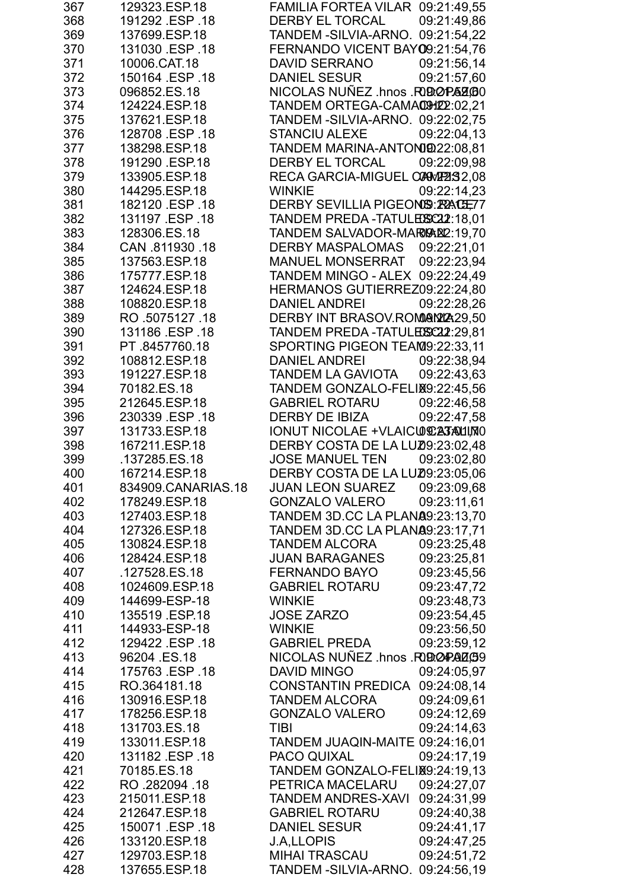| 367 | 129323.ESP.18      | FAMILIA FORTEA VILAR 09:21:49,55         |  |
|-----|--------------------|------------------------------------------|--|
| 368 | 191292 ESP 18      | <b>DERBY EL TORCAL</b><br>09:21:49.86    |  |
| 369 | 137699.ESP.18      | TANDEM - SILVIA-ARNO. 09:21:54,22        |  |
| 370 | 131030 ESP .18     | FERNANDO VICENT BAY09:21:54,76           |  |
| 371 | 10006.CAT.18       | 09:21:56,14<br>DAVID SERRANO             |  |
| 372 | 150164 ESP 18      | <b>DANIEL SESUR</b><br>09:21:57,60       |  |
| 373 | 096852.ES.18       | NICOLAS NUÑEZ .hnos .RODOPAZOO           |  |
| 374 | 124224.ESP.18      | TANDEM ORTEGA-CAMACHILL:02,21            |  |
| 375 | 137621.ESP.18      | TANDEM - SILVIA-ARNO. 09:22:02.75        |  |
| 376 | 128708 ESP .18     | <b>STANCIU ALEXE</b><br>09:22:04.13      |  |
| 377 | 138298.ESP.18      | TANDEM MARINA-ANTONIQ22:08,81            |  |
| 378 | 191290 ESP.18      | DERBY EL TORCAL<br>09:22:09,98           |  |
| 379 | 133905.ESP.18      | RECA GARCIA-MIGUEL CONWE232,08           |  |
| 380 | 144295.ESP.18      | <b>WINKIE</b><br>09:22:14,23             |  |
| 381 | 182120 .ESP .18    | DERBY SEVILLIA PIGEONIS: RACE77          |  |
| 382 | 131197 .ESP .18    | TANDEM PREDA-TATULESC22:18,01            |  |
| 383 | 128306.ES.18       | TANDEM SALVADOR-MARIAN2:19.70            |  |
| 384 | CAN 811930 18      | <b>DERBY MASPALOMAS</b><br>09:22:21,01   |  |
| 385 | 137563.ESP.18      | <b>MANUEL MONSERRAT</b><br>09:22:23,94   |  |
| 386 | 175777.ESP.18      | TANDEM MINGO - ALEX 09:22:24,49          |  |
| 387 | 124624.ESP.18      | HERMANOS GUTIERREZ09:22:24,80            |  |
| 388 | 108820.ESP.18      | DANIEL ANDREI<br>09:22:28,26             |  |
| 389 | RO 5075127 18      | DERBY INT BRASOV.ROMANY 29,50            |  |
| 390 | 131186 .ESP .18    | TANDEM PREDA-TATULESC22:29,81            |  |
| 391 | PT.8457760.18      | SPORTING PIGEON TEAM9:22:33,11           |  |
| 392 | 108812.ESP.18      | 09:22:38,94<br><b>DANIEL ANDREI</b>      |  |
| 393 | 191227.ESP.18      | <b>TANDEM LA GAVIOTA</b><br>09:22:43,63  |  |
| 394 | 70182.ES.18        | TANDEM GONZALO-FELIX9:22:45,56           |  |
| 395 | 212645.ESP.18      | <b>GABRIEL ROTARU</b><br>09:22:46,58     |  |
| 396 | 230339 ESP .18     | DERBY DE IBIZA<br>09:22:47.58            |  |
| 397 | 131733.ESP.18      | IONUT NICOLAE +VLAICUE237AUI, MO         |  |
| 398 | 167211.ESP.18      | DERBY COSTA DE LA LUZ0:23:02,48          |  |
| 399 | .137285.ES.18      | <b>JOSE MANUEL TEN</b><br>09:23:02.80    |  |
| 400 | 167214.ESP.18      | DERBY COSTA DE LA LUZ0:23:05,06          |  |
| 401 | 834909.CANARIAS.18 | <b>JUAN LEON SUAREZ</b><br>09:23:09,68   |  |
| 402 | 178249.ESP.18      | <b>GONZALO VALERO</b><br>09:23:11.61     |  |
| 403 | 127403.ESP.18      | TANDEM 3D.CC LA PLANA9:23:13.70          |  |
| 404 | 127326.ESP.18      | <b>TANDEM 3D.CC LA PLANA9:23:17.71</b>   |  |
| 405 | 130824.ESP.18      | 09:23:25,48<br><b>TANDEM ALCORA</b>      |  |
| 406 | 128424.ESP.18      | 09:23:25,81<br><b>JUAN BARAGANES</b>     |  |
| 407 | .127528.ES.18      | 09:23:45,56<br>FERNANDO BAYO             |  |
| 408 | 1024609.ESP.18     | 09:23:47,72<br><b>GABRIEL ROTARU</b>     |  |
| 409 | 144699-ESP-18      | 09:23:48,73<br><b>WINKIE</b>             |  |
| 410 | 135519 ESP.18      | <b>JOSE ZARZO</b><br>09:23:54,45         |  |
| 411 | 144933-ESP-18      | <b>WINKIE</b><br>09:23:56,50             |  |
| 412 | 129422 ESP 18      | <b>GABRIEL PREDA</b><br>09:23:59,12      |  |
| 413 | 96204 ES.18        | NICOLAS NUÑEZ .hnos .RODOPADOS9          |  |
| 414 | 175763 .ESP .18    | 09:24:05,97<br>DAVID MINGO               |  |
| 415 | RO.364181.18       | CONSTANTIN PREDICA 09:24:08,14           |  |
| 416 | 130916.ESP.18      | <b>TANDEM ALCORA</b><br>09:24:09,61      |  |
| 417 | 178256.ESP.18      | <b>GONZALO VALERO</b><br>09:24:12,69     |  |
| 418 | 131703.ES.18       | 09:24:14,63<br>TIBI                      |  |
| 419 | 133011.ESP.18      | TANDEM JUAQIN-MAITE 09:24:16,01          |  |
| 420 | 131182 ESP .18     | <b>PACO QUIXAL</b><br>09:24:17,19        |  |
| 421 | 70185.ES.18        | TANDEM GONZALO-FELIX9:24:19,13           |  |
| 422 | RO .282094 .18     | 09:24:27,07<br>PETRICA MACELARU          |  |
| 423 | 215011.ESP.18      | 09:24:31,99<br><b>TANDEM ANDRES-XAVI</b> |  |
| 424 | 212647.ESP.18      | <b>GABRIEL ROTARU</b><br>09:24:40,38     |  |
| 425 | 150071 .ESP .18    | 09:24:41,17<br><b>DANIEL SESUR</b>       |  |
| 426 | 133120.ESP.18      | J.A,LLOPIS<br>09:24:47,25                |  |
| 427 | 129703.ESP.18      | 09:24:51,72<br><b>MIHAI TRASCAU</b>      |  |
| 428 | 137655.ESP.18      | TANDEM - SILVIA-ARNO. 09:24:56,19        |  |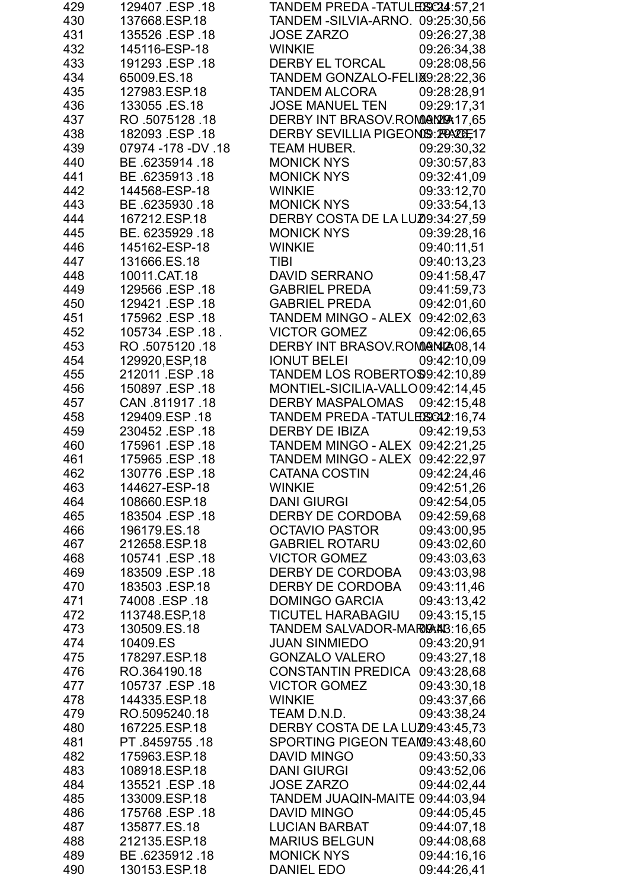| 429        | 129407 ESP 18                    | TANDEM PREDA-TATULEXX24:57,21                        |                            |
|------------|----------------------------------|------------------------------------------------------|----------------------------|
| 430        | 137668.ESP.18                    | TANDEM - SILVIA-ARNO. 09:25:30,56                    |                            |
| 431        | 135526 ESP 18                    | <b>JOSE ZARZO</b>                                    | 09:26:27,38                |
| 432        | 145116-ESP-18                    | <b>WINKIE</b>                                        | 09:26:34,38                |
| 433        | 191293 .ESP .18                  | <b>DERBY EL TORCAL</b>                               | 09:28:08,56                |
| 434        | 65009.ES.18                      | TANDEM GONZALO-FELIX9:28:22,36                       |                            |
| 435        | 127983.ESP.18                    | <b>TANDEM ALCORA</b>                                 | 09:28:28,91                |
| 436        | 133055 ES.18                     | <b>JOSE MANUEL TEN</b>                               | 09:29:17,31                |
| 437        | RO 5075128 18                    | DERBY INT BRASOV.ROMORM20417,65                      |                            |
| 438        | 182093 .ESP .18                  | DERBY SEVILLIA PIGEONSS: PRACE: 17                   |                            |
| 439        | 07974 - 178 - DV . 18            | <b>TEAM HUBER.</b>                                   | 09:29:30,32                |
| 440        | BE 6235914 18                    | <b>MONICK NYS</b>                                    | 09:30:57,83                |
| 441        | BE 6235913.18                    | MONICK NYS                                           | 09:32:41,09                |
| 442        | 144568-ESP-18                    | <b>WINKIE</b>                                        | 09:33:12,70                |
| 443        | BE 6235930 18                    | <b>MONICK NYS</b>                                    | 09:33:54,13                |
| 444        | 167212.ESP.18                    | DERBY COSTA DE LA LUZ09:34:27,59                     |                            |
| 445<br>446 | BE. 6235929.18<br>145162-ESP-18  | <b>MONICK NYS</b><br><b>WINKIE</b>                   | 09:39:28,16                |
| 447        | 131666.ES.18                     | <b>TIBI</b>                                          | 09:40:11,51                |
| 448        | 10011.CAT.18                     | <b>DAVID SERRANO</b>                                 | 09:40:13,23<br>09:41:58,47 |
| 449        | 129566 .ESP .18                  | <b>GABRIEL PREDA</b>                                 | 09:41:59,73                |
| 450        | 129421.ESP.18                    | <b>GABRIEL PREDA</b>                                 | 09:42:01,60                |
| 451        | 175962 ESP 18                    | TANDEM MINGO - ALEX 09:42:02,63                      |                            |
| 452        | 105734 ESP 18.                   | <b>VICTOR GOMEZ</b>                                  | 09:42:06.65                |
| 453        | RO .5075120 .18                  | DERBY INT BRASOV.ROMONIZA08,14                       |                            |
| 454        | 129920, ESP, 18                  | <b>IONUT BELEI</b>                                   | 09:42:10,09                |
| 455        | 212011 .ESP .18                  | TANDEM LOS ROBERTO\$9:42:10,89                       |                            |
| 456        | 150897 .ESP .18                  | MONTIEL-SICILIA-VALLO09:42:14,45                     |                            |
| 457        | CAN 811917 18                    | <b>DERBY MASPALOMAS</b>                              | 09:42:15,48                |
| 458        | 129409.ESP.18                    | TANDEM PREDA-TATULEISCA2:16.74                       |                            |
| 459        | 230452 .ESP .18                  | DERBY DE IBIZA                                       | 09:42:19,53                |
| 460        | 175961 ESP .18                   | TANDEM MINGO - ALEX 09:42:21,25                      |                            |
| 461        | 175965 .ESP .18                  | TANDEM MINGO - ALEX 09:42:22.97                      |                            |
| 462        | 130776 .ESP .18                  | CATANA COSTIN 09:42:24,46                            |                            |
| 463        | 144627-ESP-18                    | <b>WINKIE</b>                                        | 09:42:51,26                |
| 464        | 108660.ESP.18                    | <b>DANI GIURGI</b>                                   | 09:42:54,05                |
| 465<br>466 | 183504 ESP 18<br>196179.ES.18    | <b>DERBY DE CORDOBA</b><br><b>OCTAVIO PASTOR</b>     | 09:42:59,68                |
| 467        | 212658.ESP.18                    | <b>GABRIEL ROTARU</b>                                | 09:43:00,95<br>09:43:02,60 |
| 468        | 105741 .ESP .18                  | <b>VICTOR GOMEZ</b>                                  | 09:43:03,63                |
| 469        | 183509 ESP 18                    | <b>DERBY DE CORDOBA</b>                              | 09:43:03,98                |
| 470        | 183503 ESP.18                    | <b>DERBY DE CORDOBA</b>                              | 09:43:11,46                |
| 471        | 74008 ESP .18                    | <b>DOMINGO GARCIA</b>                                | 09:43:13,42                |
| 472        | 113748.ESP,18                    | <b>TICUTEL HARABAGIU</b>                             | 09:43:15,15                |
| 473        | 130509.ES.18                     | TANDEM SALVADOR-MARIGANI3:16,65                      |                            |
| 474        | 10409.ES                         | <b>JUAN SINMIEDO</b>                                 | 09:43:20,91                |
| 475        | 178297.ESP.18                    | <b>GONZALO VALERO</b>                                | 09:43:27,18                |
| 476        | RO.364190.18                     | <b>CONSTANTIN PREDICA</b>                            | 09:43:28,68                |
| 477        | 105737 ESP 18                    | <b>VICTOR GOMEZ</b>                                  | 09:43:30,18                |
| 478        | 144335.ESP.18                    | <b>WINKIE</b>                                        | 09:43:37,66                |
| 479        | RO.5095240.18                    | TEAM D.N.D.                                          | 09:43:38,24                |
| 480        | 167225.ESP.18                    | DERBY COSTA DE LA LUZ0:43:45,73                      |                            |
| 481        | PT.8459755.18                    | SPORTING PIGEON TEAM9:43:48,60                       |                            |
| 482        | 175963.ESP.18                    | DAVID MINGO                                          | 09:43:50,33                |
| 483<br>484 | 108918.ESP.18                    | <b>DANI GIURGI</b>                                   | 09:43:52,06                |
| 485        | 135521 .ESP .18<br>133009.ESP.18 | <b>JOSE ZARZO</b><br>TANDEM JUAQIN-MAITE 09:44:03,94 | 09:44:02,44                |
| 486        | 175768 ESP 18                    | <b>DAVID MINGO</b>                                   | 09:44:05.45                |
| 487        | 135877.ES.18                     | <b>LUCIAN BARBAT</b>                                 | 09:44:07.18                |
| 488        | 212135.ESP.18                    | <b>MARIUS BELGUN</b>                                 | 09:44:08,68                |
| 489        | BE 6235912.18                    | <b>MONICK NYS</b>                                    | 09:44:16,16                |
| 490        | 130153.ESP.18                    | <b>DANIEL EDO</b>                                    | 09:44:26,41                |